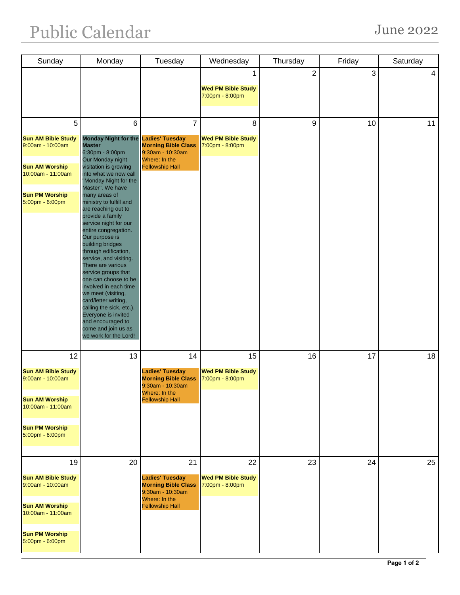## Public Calendar June 2022

| Sunday                                                                                                                                          | Monday                                                                                                                                                                                                                                                                                                                                                                                                                                                                                                                                                                                                                                                                                                  | Tuesday                                                                                                                               | Wednesday                                          | Thursday       | Friday | Saturday       |
|-------------------------------------------------------------------------------------------------------------------------------------------------|---------------------------------------------------------------------------------------------------------------------------------------------------------------------------------------------------------------------------------------------------------------------------------------------------------------------------------------------------------------------------------------------------------------------------------------------------------------------------------------------------------------------------------------------------------------------------------------------------------------------------------------------------------------------------------------------------------|---------------------------------------------------------------------------------------------------------------------------------------|----------------------------------------------------|----------------|--------|----------------|
|                                                                                                                                                 |                                                                                                                                                                                                                                                                                                                                                                                                                                                                                                                                                                                                                                                                                                         |                                                                                                                                       | 1<br><b>Wed PM Bible Study</b><br>7:00pm - 8:00pm  | $\overline{2}$ | 3      | $\overline{4}$ |
| 5<br><b>Sun AM Bible Study</b><br>9:00am - 10:00am<br><b>Sun AM Worship</b><br>10:00am - 11:00am<br><b>Sun PM Worship</b><br>5:00pm - 6:00pm    | $6\phantom{1}$<br><b>Monday Night for the</b><br><b>Master</b><br>6:30pm - 8:00pm<br>Our Monday night<br>visitation is growing<br>into what we now call<br>"Monday Night for the<br>Master". We have<br>many areas of<br>ministry to fulfill and<br>are reaching out to<br>provide a family<br>service night for our<br>entire congregation.<br>Our purpose is<br>building bridges<br>through edification,<br>service, and visiting.<br>There are various<br>service groups that<br>one can choose to be<br>involved in each time<br>we meet (visiting,<br>card/letter writing,<br>calling the sick, etc.).<br>Everyone is invited<br>and encouraged to<br>come and join us as<br>we work for the Lord! | $\overline{7}$<br><b>Ladies' Tuesday</b><br><b>Morning Bible Class</b><br>9:30am - 10:30am<br>Where: In the<br><b>Fellowship Hall</b> | 8<br><b>Wed PM Bible Study</b><br>7:00pm - 8:00pm  | 9              | 10     | 11             |
| 12<br><b>Sun AM Bible Study</b><br>$9:00am - 10:00am$<br><b>Sun AM Worship</b><br>10:00am - 11:00am<br><b>Sun PM Worship</b><br>5:00pm - 6:00pm | 13                                                                                                                                                                                                                                                                                                                                                                                                                                                                                                                                                                                                                                                                                                      | 14<br><b>Ladies' Tuesday</b><br><b>Morning Bible Class</b><br>9:30am - 10:30am<br>Where: In the<br><b>Fellowship Hall</b>             | 15<br><b>Wed PM Bible Study</b><br>7:00pm - 8:00pm | 16             | 17     | 18             |
| 19<br><b>Sun AM Bible Study</b><br>9:00am - 10:00am<br><b>Sun AM Worship</b><br>10:00am - 11:00am<br><b>Sun PM Worship</b><br>5:00pm - 6:00pm   | 20                                                                                                                                                                                                                                                                                                                                                                                                                                                                                                                                                                                                                                                                                                      | 21<br><b>Ladies' Tuesday</b><br><b>Morning Bible Class</b><br>$9:30$ am - 10:30am<br>Where: In the<br><b>Fellowship Hall</b>          | 22<br><b>Wed PM Bible Study</b><br>7:00pm - 8:00pm | 23             | 24     | 25             |